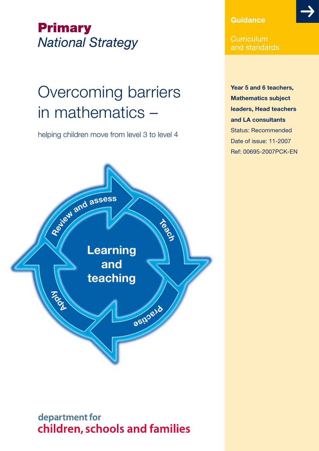

## Overcoming barriers in mathematics –

helping children move from level 3 to level 4



## department for children, schools and families

### **Guidance**

**Curriculum** and standards

**Year 5 and 6 teachers, Mathematics subject leaders, Head teachers and LA consultants** Status: Recommended Date of issue: 11-2007 Ref: 00695-2007PCK-EN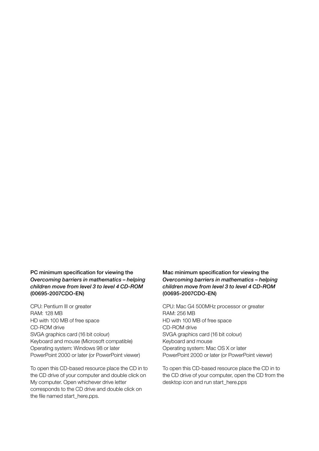#### PC minimum specification for viewing the *Overcoming barriers in mathematics – helping children move from level 3 to level 4 CD-ROM* (00695-2007CDO-EN)

CPU: Pentium III or greater RAM: 128 MB HD with 100 MB of free space CD-ROM drive SVGA graphics card (16 bit colour) Keyboard and mouse (Microsoft compatible) Operating system: Windows 98 or later PowerPoint 2000 or later (or PowerPoint viewer)

To open this CD-based resource place the CD in to the CD drive of your computer and double click on My computer. Open whichever drive letter corresponds to the CD drive and double click on the file named start\_here.pps.

#### Mac minimum specification for viewing the *Overcoming barriers in mathematics – helping children move from level 3 to level 4 CD-ROM* (00695-2007CDO-EN)

CPU: Mac G4 500MHz processor or greater RAM: 256 MB HD with 100 MB of free space CD-ROM drive SVGA graphics card (16 bit colour) Keyboard and mouse Operating system: Mac OS X or later PowerPoint 2000 or later (or PowerPoint viewer)

To open this CD-based resource place the CD in to the CD drive of your computer, open the CD from the desktop icon and run start here.pps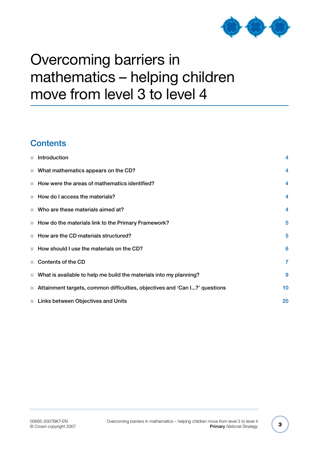

## Overcoming barriers in mathematics – helping children move from level 3 to level 4

## **Contents**

| ٠  | Introduction                                                               | $\overline{4}$ |
|----|----------------------------------------------------------------------------|----------------|
| ٠  | What mathematics appears on the CD?                                        | $\overline{4}$ |
|    | $\blacksquare$ How were the areas of mathematics identified?               | $\overline{4}$ |
|    | $\blacksquare$ How do I access the materials?                              | $\overline{4}$ |
| ш  | Who are these materials aimed at?                                          | 4              |
|    | $\blacksquare$ How do the materials link to the Primary Framework?         | 5              |
|    | $\blacksquare$ How are the CD materials structured?                        | 5              |
| m. | How should I use the materials on the CD?                                  | 6              |
| ٠  | Contents of the CD                                                         | 7              |
| ш  | What is available to help me build the materials into my planning?         | 9              |
| ш  | Attainment targets, common difficulties, objectives and 'Can I?' questions | 10             |
|    | ■ Links between Objectives and Units                                       | 20             |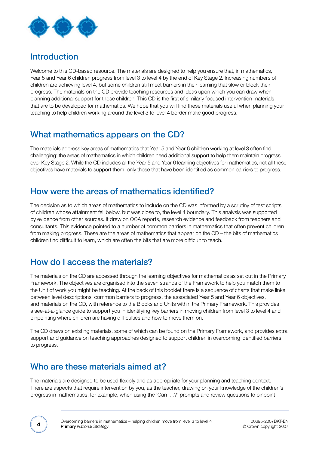

## **Introduction**

Welcome to this CD-based resource. The materials are designed to help you ensure that, in mathematics, Year 5 and Year 6 children progress from level 3 to level 4 by the end of Key Stage 2. Increasing numbers of children are achieving level 4, but some children still meet barriers in their learning that slow or block their progress. The materials on the CD provide teaching resources and ideas upon which you can draw when planning additional support for those children. This CD is the first of similarly focused intervention materials that are to be developed for mathematics. We hope that you will find these materials useful when planning your teaching to help children working around the level 3 to level 4 border make good progress.

## What mathematics appears on the CD?

The materials address key areas of mathematics that Year 5 and Year 6 children working at level 3 often find challenging: the areas of mathematics in which children need additional support to help them maintain progress over Key Stage 2. While the CD includes all the Year 5 and Year 6 learning objectives for mathematics, not all these objectives have materials to support them, only those that have been identified as common barriers to progress.

## How were the areas of mathematics identified?

The decision as to which areas of mathematics to include on the CD was informed by a scrutiny of test scripts of children whose attainment fell below, but was close to, the level 4 boundary. This analysis was supported by evidence from other sources. It drew on QCA reports, research evidence and feedback from teachers and consultants. This evidence pointed to a number of common barriers in mathematics that often prevent children from making progress. These are the areas of mathematics that appear on the CD – the bits of mathematics children find difficult to learn, which are often the bits that are more difficult to teach.

## How do I access the materials?

The materials on the CD are accessed through the learning objectives for mathematics as set out in the Primary Framework. The objectives are organised into the seven strands of the Framework to help you match them to the Unit of work you might be teaching. At the back of this booklet there is a sequence of charts that make links between level descriptions, common barriers to progress, the associated Year 5 and Year 6 objectives, and materials on the CD, with reference to the Blocks and Units within the Primary Framework. This provides a see-at-a-glance guide to support you in identifying key barriers in moving children from level 3 to level 4 and pinpointing where children are having difficulties and how to move them on.

The CD draws on existing materials, some of which can be found on the Primary Framework, and provides extra support and guidance on teaching approaches designed to support children in overcoming identified barriers to progress.

## Who are these materials aimed at?

The materials are designed to be used flexibly and as appropriate for your planning and teaching context. There are aspects that require intervention by you, as the teacher, drawing on your knowledge of the children's progress in mathematics, for example, when using the 'Can I…?' prompts and review questions to pinpoint

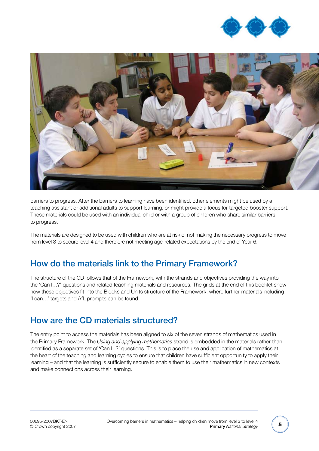



barriers to progress. After the barriers to learning have been identified, other elements might be used by a teaching assistant or additional adults to support learning, or might provide a focus for targeted booster support. These materials could be used with an individual child or with a group of children who share similar barriers to progress.

The materials are designed to be used with children who are at risk of not making the necessary progress to move from level 3 to secure level 4 and therefore not meeting age-related expectations by the end of Year 6.

## How do the materials link to the Primary Framework?

The structure of the CD follows that of the Framework, with the strands and objectives providing the way into the 'Can I…?' questions and related teaching materials and resources. The grids at the end of this booklet show how these objectives fit into the Blocks and Units structure of the Framework, where further materials including 'I can…' targets and AfL prompts can be found.

## How are the CD materials structured?

The entry point to access the materials has been aligned to six of the seven strands of mathematics used in the Primary Framework. The *Using and applying mathematics* strand is embedded in the materials rather than identified as a separate set of 'Can I...?' questions. This is to place the use and application of mathematics at the heart of the teaching and learning cycles to ensure that children have sufficient opportunity to apply their learning – and that the learning is sufficiently secure to enable them to use their mathematics in new contexts and make connections across their learning.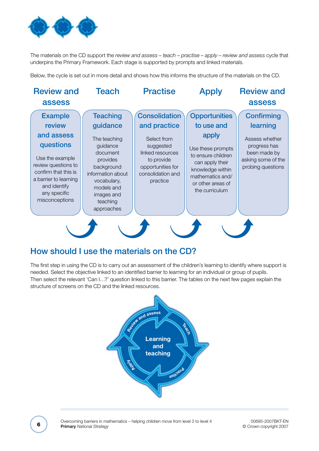

The materials on the CD support the *review and assess – teach – practise – apply – review and assess* cycle that underpins the Primary Framework. Each stage is supported by prompts and linked materials.

Below, the cycle is set out in more detail and shows how this informs the structure of the materials on the CD.



## How should I use the materials on the CD?

The first step in using the CD is to carry out an assessment of the children's learning to identify where support is needed. Select the objective linked to an identified barrier to learning for an individual or group of pupils. Then select the relevant 'Can I…?' question linked to this barrier. The tables on the next few pages explain the structure of screens on the CD and the linked resources.

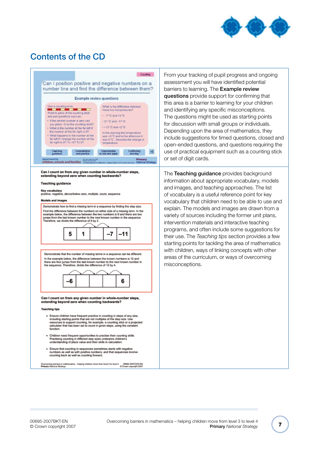

## Contents of the CD



### Can I count on from any given number in whole-number steps,<br>extending beyond zero when counting backwards?

#### **Teaching guidance**

Key vocabulary<br>positive, negative, above/below zero, multiple, count, sequence

#### **Models and images**

Demonstrate how to find a missing term in a sequence by finding the step size. Find the difference between the numbers on either side of a missing term, In the r into uncontrol outware the international particle and the big many is and there as jumps from the last known number to the next known number in the sequel<br>jumps from the last known number to the next known number in the



Demonstrate that the number of missing terms in a sequence can be different. In the example below, the difference between the known numbers is 12 and there are four jumps from the last known number to the next known number in<br>the sequence. Therefore, divide the difference of 12 by 4.



Can I count on from any given number in whole-number steps,<br>extending beyond zero when counting backwards?

#### **Teaching tips**

- Ensure children have frequent practice in counting in steps of any size,<br>including starting points that are not multiples of the step size. Use<br>resources to support counting, for example, a counting stick or a projected<br>
- Children need frequent opportunities to practise their counting skills.<br>Practising counting in different step sizes underpins children's<br>understanding of place value and their skills in calculation.
- . Ensure that counting in sequences sometimes s tarts with nega numbers as well as with positive numbers, and that sequences involve counting back as well as counting forward.

Overcoming barriers in mathematics - helping children move from level 3 to level 4 00895-2007CDO-EN

From your tracking of pupil progress and ongoing assessment you will have identified potential barriers to learning. The Example review questions provide support for confirming that this area is a barrier to learning for your children and identifying any specific misconceptions. The questions might be used as starting points for discussion with small groups or individuals. Depending upon the area of mathematics, they include suggestions for timed questions, closed and open-ended questions, and questions requiring the use of practical equipment such as a counting stick or set of digit cards.

The Teaching guidance provides background information about appropriate vocabulary, models and images, and teaching approaches. The list of vocabulary is a useful reference point for key vocabulary that children need to be able to use and explain. The models and images are drawn from a variety of sources including the former unit plans, intervention materials and interactive teaching programs, and often include some suggestions for their use. The *Teaching tips* section provides a few starting points for tackling the area of mathematics with children, ways of linking concepts with other areas of the curriculum, or ways of overcoming misconceptions.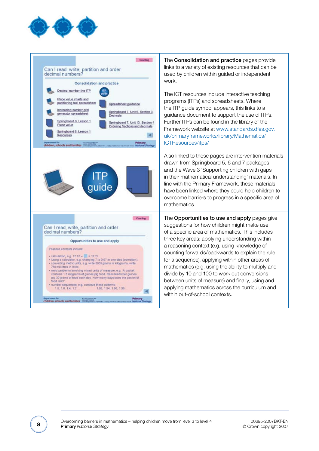



The **Consolidation and practice** pages provide links to a variety of existing resources that can be used by children within guided or independent work.

The ICT resources include interactive teaching programs (ITPs) and spreadsheets. Where the ITP guide symbol appears, this links to a guidance document to support the use of ITPs. Further ITPs can be found in the library of the Framework website at [www.standards.dfes.gov.](http://www.standards.dfes.gov.uk/primaryframeworks/library/Mathematics/ICTResources/itps/) [uk/primaryframeworks/library/Mathematics/](http://www.standards.dfes.gov.uk/primaryframeworks/library/Mathematics/ICTResources/itps/) [ICTResources/itps/](http://www.standards.dfes.gov.uk/primaryframeworks/library/Mathematics/ICTResources/itps/)

Also linked to these pages are intervention materials drawn from Springboard 5, 6 and 7 packages and the Wave 3 'Supporting children with gaps in their mathematical understanding' materials. In line with the Primary Framework, these materials have been linked where they could help children to overcome barriers to progress in a specific area of mathematics.

The **Opportunities to use and apply** pages give suggestions for how children might make use of a specific area of mathematics. This includes three key areas: applying understanding within a reasoning context (e.g. using knowledge of counting forwards/backwards to explain the rule for a sequence), applying within other areas of mathematics (e.g. using the ability to multiply and divide by 10 and 100 to work out conversions between units of measure) and finally, using and applying mathematics across the curriculum and within out-of-school contexts.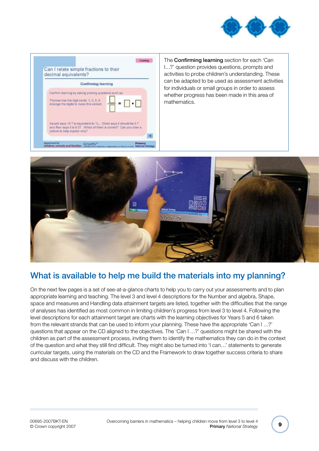



The Confirming learning section for each 'Can I…?' question provides questions, prompts and activities to probe children's understanding. These can be adapted to be used as assessment activities for individuals or small groups in order to assess whether progress has been made in this area of mathematics.



## What is available to help me build the materials into my planning?

On the next few pages is a set of see-at-a-glance charts to help you to carry out your assessments and to plan appropriate learning and teaching. The level 3 and level 4 descriptions for the Number and algebra, Shape, space and measures and Handling data attainment targets are listed, together with the difficulties that the range of analyses has identified as most common in limiting children's progress from level 3 to level 4. Following the level descriptions for each attainment target are charts with the learning objectives for Years 5 and 6 taken from the relevant strands that can be used to inform your planning. These have the appropriate 'Can I …?' questions that appear on the CD aligned to the objectives. The 'Can I …?' questions might be shared with the children as part of the assessment process, inviting them to identify the mathematics they can do in the context of the question and what they still find difficult. They might also be turned into 'I can…' statements to generate curricular targets, using the materials on the CD and the Framework to draw together success criteria to share and discuss with the children.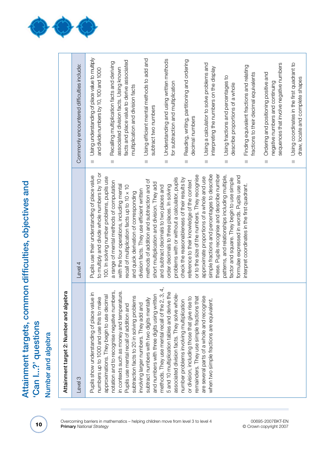# Attainment targets, common difficulties, objectives and Attainment targets, common difficulties, objectives and Can I...? questions 'Can I...?' questions

## Number and algebra Number and algebra

## Attainment target 2: Number and algebra Attainment target 2: Number and algebra

| Level 3                                                                                                                             | Level 4                                                                                                                                       | Commonly encountered difficulties include:                                                       |
|-------------------------------------------------------------------------------------------------------------------------------------|-----------------------------------------------------------------------------------------------------------------------------------------------|--------------------------------------------------------------------------------------------------|
| Pupils show understanding of place value in<br>approximations. They begin to use decimal<br>numbers up to 1000 and use this to make | to multiply and divide whole numbers by 10 or<br>Pupils use their understanding of place value<br>100. In solving number problems, pupils use | Using understanding of place value to multiply<br>and divide numbers by 10, 100 and 1000<br>П    |
| notation and to recognise negative numbers,<br>in contexts such as money and temperature.                                           | a range of mental methods of computation<br>with the four operations, including mental                                                        | Recalling multiplication facts and deriving<br>associated division facts. Using known            |
| subtraction facts to 20 in solving problems<br>Pupils use mental recall of addition and                                             | recall of multiplication facts up to 10 x 10<br>and quick derivation of corresponding                                                         | facts and place value to derive associated<br>multiplication and division facts                  |
| subtract numbers with two digits mentally<br>involving larger numbers. They add and                                                 | methods of addition and subtraction and of<br>division facts. They use efficient written                                                      | Using efficient mental methods to add and<br>п                                                   |
| and numbers with three digits using written                                                                                         | short multiplication and division. They add                                                                                                   | subtract two numbers                                                                             |
| methods. They use mental recall of the 2, 3, 4,<br>5 and 10 multiplication tables and derive the                                    | order decimals to three places. In solving<br>and subtract decimals to two places and                                                         | Understanding and using written methods<br>for subtraction and multiplication<br>ш               |
| associated division facts. They solve whole-<br>number problems involving multiplication                                            | problems with or without a calculator, pupils<br>check the reasonableness of their results by                                                 |                                                                                                  |
| or division, including those that give rise to                                                                                      | reference to their knowledge of the context                                                                                                   | Reading, writing, partitioning and ordering<br>a.                                                |
| remainders. They use simple fractions that                                                                                          | or to the size of the numbers. They recognise                                                                                                 | decimal numbers                                                                                  |
| are several parts of a whole and recognise<br>when two simple fractions are equivalent.                                             | these. Pupils recognise and describe number<br>simple fractions and percentages to describe<br>approximate proportions of a whole and use     | Using a calculator to solve problems and<br>interpreting the numbers on the display              |
|                                                                                                                                     | patterns, and relationships including multiple,<br>formulae expressed in words. Pupils use and<br>factor and square. They begin to use simple | Using fractions and percentages to<br>describe proportions of a whole<br>H                       |
|                                                                                                                                     | interpret coordinates in the first quadrant.                                                                                                  | Finding equivalent fractions and relating<br>fractions to their decimal equivalents<br><b>CO</b> |
|                                                                                                                                     |                                                                                                                                               | Ordering and positioning positive and<br>i.                                                      |



negative numbers and continuing sequences that involve negative numbers

negative numbers and continuing

sequences that involve negative numbers

Using coordinates in the first quadrant to

Using coordinates in the first quadrant to

draw, locate and complete shapes

draw, locate and complete shapes

■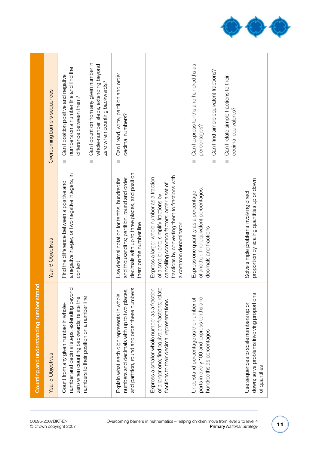| Year 5 Objectives                                                                                                                                                                 | Year 6 Objectives                                                                                                                                                                                             | Overcoming barriers sequences                                                                                                                                                                                                                                   |
|-----------------------------------------------------------------------------------------------------------------------------------------------------------------------------------|---------------------------------------------------------------------------------------------------------------------------------------------------------------------------------------------------------------|-----------------------------------------------------------------------------------------------------------------------------------------------------------------------------------------------------------------------------------------------------------------|
| ହ<br>number and decimal steps, extending beyon<br>numbers to their position on a number line<br>zero when counting backwards; relate the<br>Count from any given number in whole- | a negative integer, or two negative integers, in<br>Find the difference between a positive and<br>context                                                                                                     | Can I count on from any given number in<br>whole-number steps, extending beyond<br>numbers on a number line and find the<br>Can I position positive and negative<br>zero when counting backwards?<br>difference between them?<br>×.<br>$\overline{\phantom{a}}$ |
| ίù<br>numbers and decimals with up to two places,<br>and partition, round and order these number<br>Explain what each digit represents in whole                                   | decimals with up to three places, and position<br>Use decimal notation for tenths, hundredths<br>and thousandths; partition, round and order<br>them on the number line                                       | Can I read, write, partition and order<br>decimal numbers?<br>$\mathcal{L}_{\mathcal{A}}$                                                                                                                                                                       |
| $\Omega$<br>Express a smaller whole number as a fraction<br>of a larger one; find equivalent fractions; relat<br>fractions to their decimal representations                       | fractions by converting them to fractions with<br>Express a larger whole number as a fraction<br>cancelling common factors; order a set of<br>of a smaller one; simplify fractions by<br>a common denominator |                                                                                                                                                                                                                                                                 |
| parts in every 100 and express tenths and<br>Understand percentage as the number of<br>hundredths as percentages                                                                  | of another; find equivalent percentages,<br>Express one quantity as a percentage<br>decimals and fractions                                                                                                    | Can I express tenths and hundredths as<br>Can I find simple equivalent fractions?<br>Can I relate simple fractions to their<br>decimal equivalents?<br>percentages?<br>Ű.<br>I.<br>$\mathcal{L}_{\mathcal{A}}$                                                  |
| down; solve problems involving proportions<br>Use sequences to scale numbers up or<br>of quantities                                                                               | proportion by scaling quantities up or down<br>Solve simple problems involving direct                                                                                                                         |                                                                                                                                                                                                                                                                 |

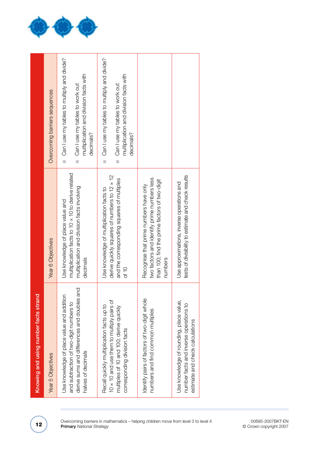

| Knowing and using number facts strand                                                                                                                                    |                                                                                                                                                   |                                                                                                                                                                                                     |
|--------------------------------------------------------------------------------------------------------------------------------------------------------------------------|---------------------------------------------------------------------------------------------------------------------------------------------------|-----------------------------------------------------------------------------------------------------------------------------------------------------------------------------------------------------|
| Year 5 Objectives                                                                                                                                                        | Year 6 Objectives                                                                                                                                 | Overcoming barriers sequences                                                                                                                                                                       |
| derive sums and differences and doubles and<br>Use knowledge of place value and addition<br>and subtraction of two-digit numbers to<br>halves of decimals                | multiplication facts to 10 x 10 to derive related<br>multiplication and division facts involving<br>Use knowledge of place value and<br>decimals  | Can I use my tables to multiply and divide?<br>multiplication and division facts with<br>Can I use my tables to work out<br>decimals?<br>I.<br>n.                                                   |
| $10 \times 10$ and use them to multiply pairs of<br>Recall quickly multiplication facts up to<br>multiples of 10 and 100; derive quickly<br>corresponding division facts | derive quickly squares of numbers to 12 x 12<br>and the corresponding squares of multiples<br>Use knowledge of multiplication facts to<br>of $10$ | Can I use my tables to multiply and divide?<br>multiplication and division facts with<br>Can I use my tables to work out<br>decimals?<br>$\mathcal{L}_{\mathcal{A}}$<br>$\mathcal{L}_{\mathcal{A}}$ |
| Identify pairs of factors of two-digit whole<br>numbers and find common multiples                                                                                        | two factors and identify prime numbers less<br>than 100; find the prime factors of two-digit<br>Recognise that prime numbers have only<br>numbers |                                                                                                                                                                                                     |
| Use knowledge of rounding, place value,<br>number facts and inverse operations to                                                                                        | tests of divisibility to estimate and check results<br>Use approximations, inverse operations and                                                 |                                                                                                                                                                                                     |
|                                                                                                                                                                          |                                                                                                                                                   |                                                                                                                                                                                                     |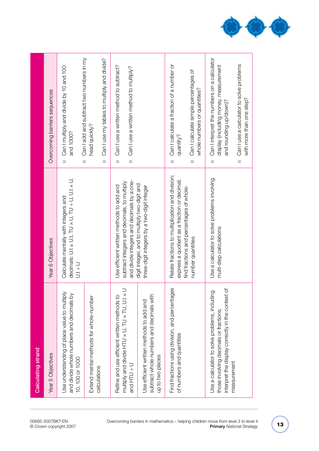| Year 5 Objectives                                                                                                                            | Year 6 Objectives                                                                                                                     | Overcoming barriers sequences                                                                                                                                          |
|----------------------------------------------------------------------------------------------------------------------------------------------|---------------------------------------------------------------------------------------------------------------------------------------|------------------------------------------------------------------------------------------------------------------------------------------------------------------------|
| Use understanding of place value to multiply<br>and divide whole numbers and decimals by<br>10, 100 or 1000                                  | decimals: $U.t + U.t$ , $TU \times U$ , $TU \div U$ , $U.t \times U$ ,<br>Calculate mentally with integers and<br>$U + U$             | Can I multiply and divide by 10 and 100<br>and 1000?                                                                                                                   |
| Extend mental methods for whole-number<br>calculations                                                                                       |                                                                                                                                       | Can I add and subtract two numbers in my<br>Can I use my tables to multiply and divide?<br>head quickly?<br>$\mathcal{L}_{\mathcal{A}}$<br>$\mathcal{L}_{\mathcal{A}}$ |
| multiply and divide HTU x U, TU x TU, U.t x<br>Refine and use efficient written methods to<br>and HTU ÷ U                                    | and divide integers and decimals by a one-<br>subtract integers and decimals, to multiply<br>Use efficient written methods to add and | Can I use a written method to subtract?<br>Can I use a written method to multiply?<br>$\overline{\phantom{a}}$<br>$\mathcal{L}_{\mathcal{A}}$                          |
| subtract whole numbers and decimals with<br>Use efficient written methods to add and<br>up to two places                                     | digit integer, and to multiply two-digit and<br>three-digit integers by a two-digit integer                                           |                                                                                                                                                                        |
| S<br>Find fractions using division, and percentage<br>of numbers and quantities                                                              | Relate fractions to multiplication and division;<br>express a quotient as a fraction or decimal;                                      | Can I calculate a fraction of a number or<br>quantity?                                                                                                                 |
|                                                                                                                                              | find fractions and percentages of whole-<br>number quantities                                                                         | Can I calculate simple percentages of<br>whole numbers or quantities?                                                                                                  |
| interpret the display correctly in the context of<br>Use a calculator to solve problems, including<br>those involving decimals or fractions; | Use a calculator to solve problems involving<br>multi-step calculations                                                               | Can I interpret the numbers on a calculator<br>display (including money, measurement<br>and rounding up/down)?                                                         |
| measurement                                                                                                                                  |                                                                                                                                       | Can I use a calculator to solve problems<br>with more than one step?                                                                                                   |



00695-2007BKT-EN Overcoming barriers in mathematics – helping children move from level 3 to level 4<br>© Crown copyright 2007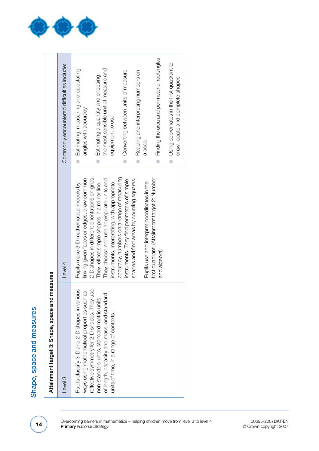| 2-D shapes in different orientations on grids.<br>accuracy, numbers on a range of measuring<br>linking given faces or edges, draw common<br>They choose and use appropriate units and<br>instruments, interpreting, with appropriate<br>They reflect simple shapes in a mirror line.<br>Pupils make 3-D mathematical models by<br>Level 4<br>use<br>Pupils classify 3-D and 2-D shapes in various<br>as<br>p<br>of length, capacity and mass, and standar<br>non-standard units, standard metric units<br>ways using mathematical properties such<br>reflective symmetry for 2-D shapes. They<br>units of time, in a range of contexts<br>က<br>Level |                                                                                                                   |
|------------------------------------------------------------------------------------------------------------------------------------------------------------------------------------------------------------------------------------------------------------------------------------------------------------------------------------------------------------------------------------------------------------------------------------------------------------------------------------------------------------------------------------------------------------------------------------------------------------------------------------------------------|-------------------------------------------------------------------------------------------------------------------|
|                                                                                                                                                                                                                                                                                                                                                                                                                                                                                                                                                                                                                                                      | Commonly encountered difficulties include:                                                                        |
|                                                                                                                                                                                                                                                                                                                                                                                                                                                                                                                                                                                                                                                      | Estimating, measuring and calculating<br>angles with accuracy<br>$\mathcal{L}_{\mathcal{A}}$                      |
|                                                                                                                                                                                                                                                                                                                                                                                                                                                                                                                                                                                                                                                      | the most sensible unit of measure and<br>Estimating a quantity and choosing<br>equipment to use<br>$\blacksquare$ |
| instruments. They find perimeters of simple                                                                                                                                                                                                                                                                                                                                                                                                                                                                                                                                                                                                          | Converting between units of measure<br>I.                                                                         |
| shapes and find areas by counting squares.<br>Pupils use and interpret coordinates in the                                                                                                                                                                                                                                                                                                                                                                                                                                                                                                                                                            | Reading and interpreting numbers on<br>a scale<br>$\mathcal{L}_{\mathcal{A}}$                                     |
| first quadrant. (Attainment target 2: Number<br>and algebra)                                                                                                                                                                                                                                                                                                                                                                                                                                                                                                                                                                                         | Finding the area and perimeter of rectangles<br>$\mathcal{L}_{\mathcal{A}}$                                       |
|                                                                                                                                                                                                                                                                                                                                                                                                                                                                                                                                                                                                                                                      | Using coordinates in the first quadrant to<br>draw, locate and complete shapes<br>$\overline{\phantom{a}}$        |

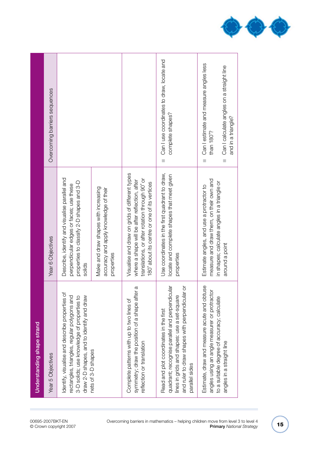| Year 5 Objectives                                                                                                                                                                                                                         | Year 6 Objectives                                                                                                                                                                                 | Overcoming barriers sequences                                                                                                                                                   |
|-------------------------------------------------------------------------------------------------------------------------------------------------------------------------------------------------------------------------------------------|---------------------------------------------------------------------------------------------------------------------------------------------------------------------------------------------------|---------------------------------------------------------------------------------------------------------------------------------------------------------------------------------|
| Identify, visualise and describe properties of<br>rectangles, triangles, regular polygons and<br>draw 2-D shapes, and to identify and draw<br>3-D solids; use knowledge of properties to                                                  | Describe, identify and visualise parallel and<br>properties to classify 2-D shapes and 3-D<br>perpendicular edges or faces; use these<br>solids                                                   |                                                                                                                                                                                 |
| nets of 3-D shapes                                                                                                                                                                                                                        | Make and draw shapes with increasing<br>accuracy and apply knowledge of their<br>properties                                                                                                       |                                                                                                                                                                                 |
| ίá<br>symmetry; draw the position of a shape after<br>Complete patterns with up to two lines of<br>reflection or translation                                                                                                              | Visualise and draw on grids of different types<br>translations, or after rotation through 90° or<br>where a shape will be after reflection, after<br>180° about its centre or one of its vertices |                                                                                                                                                                                 |
| $\frac{1}{10}$<br>$\overline{O}$<br>quadrant; recognise parallel and perpendicu<br>and ruler to draw shapes with perpendicular<br>lines in grids and shapes: use a set-square<br>Read and plot coordinates in the first<br>parallel sides | Use coordinates in the first quadrant to draw,<br>locate and complete shapes that meet given<br>properties                                                                                        | Can I use coordinates to draw, locate and<br>complete shapes?<br>$\mathcal{L}_{\mathcal{A}}$                                                                                    |
| Estimate, draw and measure acute and obtuse<br>angles using an angle measurer or protractor<br>to a suitable degree of accuracy; calculate<br>angles in a straight line                                                                   | measure and draw them, on their own and<br>in shapes; calculate angles in a triangle or<br>Estimate angles, and use a protractor to<br>around a point                                             | Can I estimate and measure angles less<br>Can I calculate angles on a straight line<br>and in a triangle?<br>than 180°?<br>$\overline{\phantom{a}}$<br>$\overline{\phantom{a}}$ |

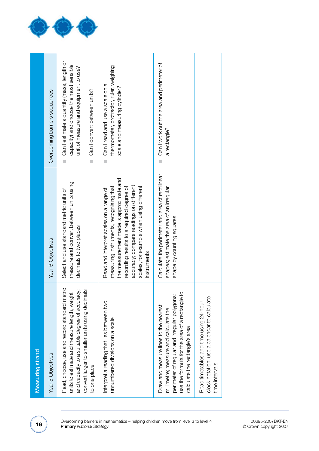

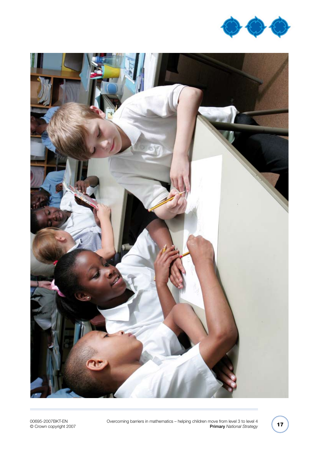

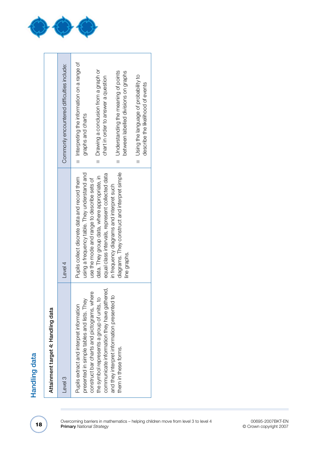| c<br>Indi |
|-----------|
|           |
|           |
| ř₫        |
|           |
|           |
|           |
|           |
|           |
|           |
| tannet    |
| :         |
|           |
|           |
| nment     |
|           |
| គ្ន       |
|           |

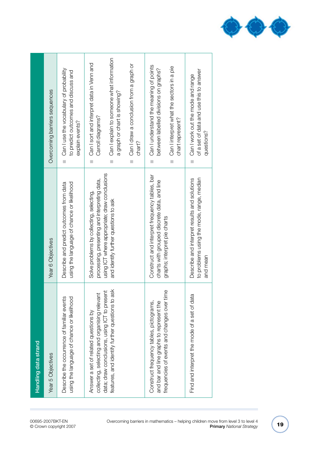| Can I use the vocabulary of probability<br>to predict outcomes and discuss and<br>Can I work out the mode and range<br>Overcoming barriers sequences<br>a graph or chart is showing?<br>Carroll diagrams?<br>chart represent?<br>explain events?<br>questions?<br>chart?<br>$\overline{\phantom{a}}$<br>$\mathcal{L}_{\mathcal{A}}$<br>$\mathcal{L}_{\mathcal{A}}$<br>m.<br>m.<br>п<br>using ICT where appropriate; draw conclusions<br>Construct and interpret frequency tables, bar<br>to problems using the mode, range, median<br>Describe and interpret results and solutions<br>processing, presenting and interpreting data,<br>charts with grouped discrete data, and line<br>using the language of chance or likelihood<br>Describe and predict outcomes from data<br>Solve problems by collecting, selecting,<br>and identify further questions to ask<br>graphs; interpret pie charts<br>Year 6 Objectives<br>and mean<br>frequencies of events and changes over time<br>data; draw conclusions, using ICT to present<br>features, and identify further questions to asl<br>collecting, selecting and organising relevant<br>Find and interpret the mode of a set of data<br>Describe the occurrence of familiar events<br>using the language of chance or likelihood<br>Construct frequency tables, pictograms,<br>and bar and line graphs to represent the<br>Answer a set of related questions by<br>Year 5 Objectives | Handling data strand |                                                                                                                                   |
|--------------------------------------------------------------------------------------------------------------------------------------------------------------------------------------------------------------------------------------------------------------------------------------------------------------------------------------------------------------------------------------------------------------------------------------------------------------------------------------------------------------------------------------------------------------------------------------------------------------------------------------------------------------------------------------------------------------------------------------------------------------------------------------------------------------------------------------------------------------------------------------------------------------------------------------------------------------------------------------------------------------------------------------------------------------------------------------------------------------------------------------------------------------------------------------------------------------------------------------------------------------------------------------------------------------------------------------------------------------------------------------------------------------------------------------|----------------------|-----------------------------------------------------------------------------------------------------------------------------------|
|                                                                                                                                                                                                                                                                                                                                                                                                                                                                                                                                                                                                                                                                                                                                                                                                                                                                                                                                                                                                                                                                                                                                                                                                                                                                                                                                                                                                                                      |                      |                                                                                                                                   |
|                                                                                                                                                                                                                                                                                                                                                                                                                                                                                                                                                                                                                                                                                                                                                                                                                                                                                                                                                                                                                                                                                                                                                                                                                                                                                                                                                                                                                                      |                      |                                                                                                                                   |
|                                                                                                                                                                                                                                                                                                                                                                                                                                                                                                                                                                                                                                                                                                                                                                                                                                                                                                                                                                                                                                                                                                                                                                                                                                                                                                                                                                                                                                      |                      | Can I explain to someone what information<br>Can I sort and interpret data in Venn and<br>Can I draw a conclusion from a graph or |
|                                                                                                                                                                                                                                                                                                                                                                                                                                                                                                                                                                                                                                                                                                                                                                                                                                                                                                                                                                                                                                                                                                                                                                                                                                                                                                                                                                                                                                      |                      | Can I understand the meaning of points<br>Can I interpret what the sectors in a pie<br>between labelled divisions on graphs?      |
|                                                                                                                                                                                                                                                                                                                                                                                                                                                                                                                                                                                                                                                                                                                                                                                                                                                                                                                                                                                                                                                                                                                                                                                                                                                                                                                                                                                                                                      |                      | of a set of data and use this to answer                                                                                           |
|                                                                                                                                                                                                                                                                                                                                                                                                                                                                                                                                                                                                                                                                                                                                                                                                                                                                                                                                                                                                                                                                                                                                                                                                                                                                                                                                                                                                                                      |                      |                                                                                                                                   |

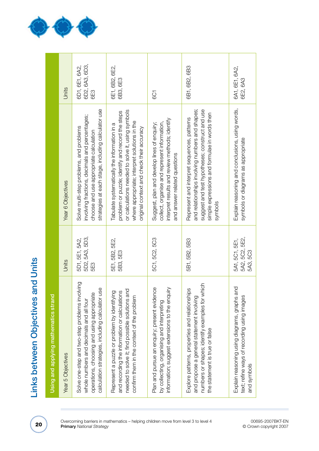| )<br>S      |
|-------------|
| ^<br>؟<br>C |
|             |
| ć           |
|             |
|             |
|             |
|             |
|             |
|             |
|             |
|             |
| I           |
|             |
|             |
| į           |
|             |
| i           |
|             |
|             |
|             |
|             |
|             |
| J           |
|             |
| nkc         |

| <b>Dug</b><br>Using and applying mathematics str                                                                                                                                                         |                                              |                                                                                                                                                                                                                                                     |                                         |
|----------------------------------------------------------------------------------------------------------------------------------------------------------------------------------------------------------|----------------------------------------------|-----------------------------------------------------------------------------------------------------------------------------------------------------------------------------------------------------------------------------------------------------|-----------------------------------------|
| Year 5 Objectives                                                                                                                                                                                        | Units                                        | Year 6 Objectives                                                                                                                                                                                                                                   | Units                                   |
| Solve one-step and two-step problems involving<br>calculation strategies, including calculator use<br>operations, choosing and using appropriate<br>whole numbers and decimals and all four              | 5D2, 5A3, 5D3,<br>5D1, 5E1, 5A2,<br>5E3      | strategies at each stage, including calculator use<br>involving fractions, decimals and percentages;<br>Solve multi-step problems, and problems<br>choose and use appropriate calculation                                                           | 6D2, 6A3, 6D3,<br>6D1, 6E1, 6A2,<br>6E3 |
| ns and<br>and recording the information or calculations<br>Represent a puzzle or problem by identifying<br>lem<br>needed to solve it; find possible solution<br>confirm them in the context of the probl | 5E1, 5B2, 5E2,<br>5B3, 5E3                   | or calculations needed to solve it, using symbols<br>problem or puzzle; identify and record the steps<br>where appropriate; interpret solutions in the<br>Tabulate systematically the information in a<br>original context and check their accuracy | 6E1, 6B2, 6E2,<br>6B3, 6E3              |
| idence<br>enquiry<br>by collecting, organising and interpreting<br>Plan and pursue an enquiry; present ev<br>information; suggest extensions to the                                                      | 5C1, 5C2, 5C3                                | interpret results and review methods; identify<br>collect, organise and represent information,<br>Suggest, plan and develop lines of enquiry;<br>and answer related questions                                                                       | 601                                     |
| for which<br>Explore patterns, properties and relationships<br>ving<br>and propose a general statement involv<br>numbers or shapes; identify examples<br>the statement is true or false                  | 5B1, 5B2, 5B3                                | and relationships involving numbers and shapes;<br>suggest and test hypotheses; construct and use<br>simple expressions and formulae in words then<br>Represent and interpret sequences, patterns<br>symbols                                        | 6B1, 6B2, 6B3                           |
| Explain reasoning using diagrams, graphs and<br>text; refine ways of recording using images<br>and symbols                                                                                               | 5A2, 5C2, 5E2,<br>5A1, 5C1, 5E1,<br>5A3, 5C3 | Explain reasoning and conclusions, using words,<br>symbols or diagrams as appropriate                                                                                                                                                               | 6A1, 6E1, 6A2,<br>6E2, 6A3              |

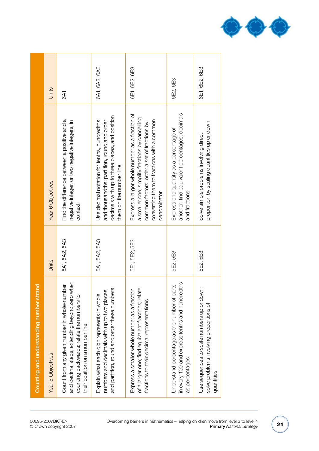| 6E2, 6E3<br>Units<br>6A1<br>another; find equivalent percentages, decimals<br>Express a larger whole number as a fraction of<br>decimals with up to three places, and position<br>a smaller one; simplify fractions by cancelling<br>converting them to fractions with a common<br>Find the difference between a positive and a<br>negative integer, or two negative integers, in<br>Use decimal notation for tenths, hundredths<br>and thousandths; partition, round and order<br>proportion by scaling quantities up or down<br>common factors; order a set of fractions by<br>Express one quantity as a percentage of<br>Solve simple problems involving direct<br>them on the number line<br>Year 6 Objectives<br>and fractions<br>denominator<br>context<br>5A1, 5A2, 5A3<br>5A1, 5A2, 5A3<br>5E1, 5E2, 5E3<br>5E2, 5E3<br>5E2, 5E3<br>Units<br>and decimal steps, extending beyond zero when<br>in every 100 and express tenths and hundredths<br>Understand percentage as the number of parts<br>Count from any given number in whole-number<br>Use sequences to scale numbers up or down;<br>of a larger one; find equivalent fractions; relate<br>and partition, round and order these numbers<br>Express a smaller whole number as a fraction<br>numbers and decimals with up to two places,<br>Explain what each digit represents in whole<br>counting backwards; relate the numbers to<br>fractions to their decimal representations<br>solve problems involving proportions of<br>their position on a number line<br>5 Objectives<br>percentages<br>quantities<br>Year<br>as | and<br>Counting and understanding number str |  |               |
|-------------------------------------------------------------------------------------------------------------------------------------------------------------------------------------------------------------------------------------------------------------------------------------------------------------------------------------------------------------------------------------------------------------------------------------------------------------------------------------------------------------------------------------------------------------------------------------------------------------------------------------------------------------------------------------------------------------------------------------------------------------------------------------------------------------------------------------------------------------------------------------------------------------------------------------------------------------------------------------------------------------------------------------------------------------------------------------------------------------------------------------------------------------------------------------------------------------------------------------------------------------------------------------------------------------------------------------------------------------------------------------------------------------------------------------------------------------------------------------------------------------------------------------------------------------------------------------------|----------------------------------------------|--|---------------|
|                                                                                                                                                                                                                                                                                                                                                                                                                                                                                                                                                                                                                                                                                                                                                                                                                                                                                                                                                                                                                                                                                                                                                                                                                                                                                                                                                                                                                                                                                                                                                                                           |                                              |  |               |
|                                                                                                                                                                                                                                                                                                                                                                                                                                                                                                                                                                                                                                                                                                                                                                                                                                                                                                                                                                                                                                                                                                                                                                                                                                                                                                                                                                                                                                                                                                                                                                                           |                                              |  |               |
|                                                                                                                                                                                                                                                                                                                                                                                                                                                                                                                                                                                                                                                                                                                                                                                                                                                                                                                                                                                                                                                                                                                                                                                                                                                                                                                                                                                                                                                                                                                                                                                           |                                              |  | 6A1, 6A2, 6A3 |
|                                                                                                                                                                                                                                                                                                                                                                                                                                                                                                                                                                                                                                                                                                                                                                                                                                                                                                                                                                                                                                                                                                                                                                                                                                                                                                                                                                                                                                                                                                                                                                                           |                                              |  | 6E1, 6E2, 6E3 |
|                                                                                                                                                                                                                                                                                                                                                                                                                                                                                                                                                                                                                                                                                                                                                                                                                                                                                                                                                                                                                                                                                                                                                                                                                                                                                                                                                                                                                                                                                                                                                                                           |                                              |  |               |
|                                                                                                                                                                                                                                                                                                                                                                                                                                                                                                                                                                                                                                                                                                                                                                                                                                                                                                                                                                                                                                                                                                                                                                                                                                                                                                                                                                                                                                                                                                                                                                                           |                                              |  | 6E1, 6E2, 6E3 |
|                                                                                                                                                                                                                                                                                                                                                                                                                                                                                                                                                                                                                                                                                                                                                                                                                                                                                                                                                                                                                                                                                                                                                                                                                                                                                                                                                                                                                                                                                                                                                                                           |                                              |  |               |

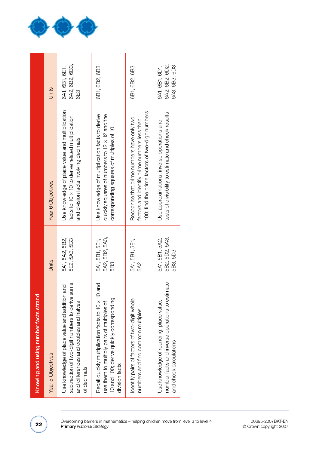| Knowing and using number facts strand                                                                                                                             |                                              |                                                                                                                                                |                                                   |
|-------------------------------------------------------------------------------------------------------------------------------------------------------------------|----------------------------------------------|------------------------------------------------------------------------------------------------------------------------------------------------|---------------------------------------------------|
| Year 5 Objectives                                                                                                                                                 | Units                                        | Year 6 Objectives                                                                                                                              | Units                                             |
| subtraction of two-digit numbers to derive sums<br>Use knowledge of place value and addition and<br>and differences and doubles and halves<br>of decimals         | 5E2, 5A3, 5B3<br>5A1, 5A2, 5B2,              | Use knowledge of place value and multiplication<br>facts to 10 x 10 to derive related multiplication<br>and division facts involving decimals  | 6A2, 6B2, 6B3,<br>6A1, 6B1, 6E1,<br>6E3           |
| 10 and<br>10 and 100; derive quickly corresponding<br>Recall quickly multiplication facts to 10 x<br>use them to multiply pairs of multiples of<br>division facts | 5A2, 5B2, 5A3,<br>5A1, 5B1, 5E1,<br>5B3      | quickly squares of numbers to 12 x 12 and the<br>Use knowledge of multiplication facts to derive<br>corresponding squares of multiples of 10   | 6B1, 6B2, 6B3                                     |
| Identify pairs of factors of two-digit whole<br>numbers and find common multiples                                                                                 | 5A1, 5B1, 5E1,<br>5A2                        | 100; find the prime factors of two-digit numbers<br>Recognise that prime numbers have only two<br>factors and identify prime numbers less than | 6B1, 6B2, 6B3                                     |
| $\Phi$<br>number facts and inverse operations to estimat<br>Use knowledge of rounding, place value,<br>and check calculations                                     | 5B2, 5D2, 5A3,<br>5A1, 5B1, 5A2,<br>5B3, 5D3 | tests of divisibility to estimate and check results<br>Use approximations, inverse operations and                                              | 6A2, 6B2, 6D2,<br>6A3, 6B3, 6D3<br>6A1, 6B1, 6D1, |
|                                                                                                                                                                   |                                              |                                                                                                                                                |                                                   |
|                                                                                                                                                                   |                                              |                                                                                                                                                |                                                   |
|                                                                                                                                                                   |                                              |                                                                                                                                                |                                                   |
|                                                                                                                                                                   |                                              |                                                                                                                                                |                                                   |

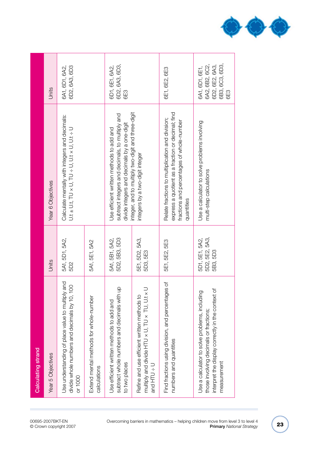| Units<br>6E3<br>6E3<br>integer, and to multiply two-digit and three-digit<br>express a quotient as a fraction or decimal; find<br>subtract integers and decimals, to multiply and<br>Calculate mentally with integers and decimals:<br>Relate fractions to multiplication and division;<br>fractions and percentages of whole-number<br>Use a calculator to solve problems involving<br>divide integers and decimals by a one-digit<br>$U: \pm U: \mathsf{T}U \times U, \mathsf{T}U \div U, \mathsf{U}: \times U, \mathsf{U}: \div U$<br>Use efficient written methods to add and<br>integers by a two-digit integer<br>multi-step calculations<br>Year 6 Objectives<br>quantities<br>5D2, 5B3, 5D3<br>5D2, 5E2, 5A3,<br>5E1, 5D2, 5A3,<br>5D1, 5E1, 5A2,<br>5A1, 5D1, 5A2,<br>5D2<br>5A1, 5B1, 5A2,<br>5E1, 5E2, 5E3<br>5A1, 5E1, 5A2<br>5B3, 5D3<br>5D3, 5E3<br>Units<br>ly and<br>Find fractions using division, and percentages of<br>100<br>subtract whole numbers and decimals with up<br>multiply and divide HTU $\times$ U, TU $\times$ TU, U.t $\times$ U<br>$\sigma$<br>Use a calculator to solve problems, including<br>interpret the display correctly in the context<br>Use understanding of place value to multipl<br>Refine and use efficient written methods to<br>divide whole numbers and decimals by 10,<br>Extend mental methods for whole-number<br>Use efficient written methods to add and<br>those involving decimals or fractions;<br>numbers and quantities<br>Objectives<br>measurement<br>to two places<br>and HTU ÷ U<br>calculations<br>or 1000<br>Year <sub>5</sub> | Calculating strand |  |                                                                      |
|----------------------------------------------------------------------------------------------------------------------------------------------------------------------------------------------------------------------------------------------------------------------------------------------------------------------------------------------------------------------------------------------------------------------------------------------------------------------------------------------------------------------------------------------------------------------------------------------------------------------------------------------------------------------------------------------------------------------------------------------------------------------------------------------------------------------------------------------------------------------------------------------------------------------------------------------------------------------------------------------------------------------------------------------------------------------------------------------------------------------------------------------------------------------------------------------------------------------------------------------------------------------------------------------------------------------------------------------------------------------------------------------------------------------------------------------------------------------------------------------------------------------------------------------------------------------------------------------------|--------------------|--|----------------------------------------------------------------------|
|                                                                                                                                                                                                                                                                                                                                                                                                                                                                                                                                                                                                                                                                                                                                                                                                                                                                                                                                                                                                                                                                                                                                                                                                                                                                                                                                                                                                                                                                                                                                                                                                    |                    |  |                                                                      |
|                                                                                                                                                                                                                                                                                                                                                                                                                                                                                                                                                                                                                                                                                                                                                                                                                                                                                                                                                                                                                                                                                                                                                                                                                                                                                                                                                                                                                                                                                                                                                                                                    |                    |  | 6D2, 6A3, 6D3<br>6A1, 6D1, 6A2,                                      |
|                                                                                                                                                                                                                                                                                                                                                                                                                                                                                                                                                                                                                                                                                                                                                                                                                                                                                                                                                                                                                                                                                                                                                                                                                                                                                                                                                                                                                                                                                                                                                                                                    |                    |  |                                                                      |
|                                                                                                                                                                                                                                                                                                                                                                                                                                                                                                                                                                                                                                                                                                                                                                                                                                                                                                                                                                                                                                                                                                                                                                                                                                                                                                                                                                                                                                                                                                                                                                                                    |                    |  | 6D2, 6A3, 6D3,<br>6D1, 6E1, 6A2,                                     |
|                                                                                                                                                                                                                                                                                                                                                                                                                                                                                                                                                                                                                                                                                                                                                                                                                                                                                                                                                                                                                                                                                                                                                                                                                                                                                                                                                                                                                                                                                                                                                                                                    |                    |  |                                                                      |
|                                                                                                                                                                                                                                                                                                                                                                                                                                                                                                                                                                                                                                                                                                                                                                                                                                                                                                                                                                                                                                                                                                                                                                                                                                                                                                                                                                                                                                                                                                                                                                                                    |                    |  | 6E1, 6E2, 6E3                                                        |
|                                                                                                                                                                                                                                                                                                                                                                                                                                                                                                                                                                                                                                                                                                                                                                                                                                                                                                                                                                                                                                                                                                                                                                                                                                                                                                                                                                                                                                                                                                                                                                                                    |                    |  | 6B3, 6C3, 6D3,<br>6A2, 6B2, 6C2,<br>6D2, 6E2, 6A3,<br>6A1, 6D1, 6E1, |
|                                                                                                                                                                                                                                                                                                                                                                                                                                                                                                                                                                                                                                                                                                                                                                                                                                                                                                                                                                                                                                                                                                                                                                                                                                                                                                                                                                                                                                                                                                                                                                                                    |                    |  |                                                                      |

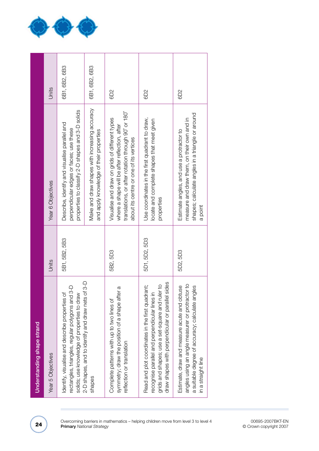| Year 5 Objectives                                                                                                                                                                                        | Units         | Year 6 Objectives                                                                                                                                                                                 | Units         |
|----------------------------------------------------------------------------------------------------------------------------------------------------------------------------------------------------------|---------------|---------------------------------------------------------------------------------------------------------------------------------------------------------------------------------------------------|---------------|
| rectangles, triangles, regular polygons and 3-D<br>dentify, visualise and describe properties of<br>solids; use knowledge of properties to draw                                                          | 5B1, 5B2, 5B3 | properties to classify 2-D shapes and 3-D solids<br>Describe, identify and visualise parallel and<br>perpendicular edges or faces; use these                                                      | 6B1, 6B2, 6B3 |
| 2-D shapes, and to identify and draw nets of 3-D<br>shapes                                                                                                                                               |               | Make and draw shapes with increasing accuracy<br>and apply knowledge of their properties                                                                                                          | 6B1, 6B2, 6B3 |
| symmetry; draw the position of a shape after a<br>Complete patterns with up to two lines of<br>reflection or translation                                                                                 | 5B2, 5D3      | translations, or after rotation through 90° or 180°<br>Visualise and draw on grids of different types<br>where a shape will be after reflection, after<br>about its centre or one of its vertices | 6D2           |
| draw shapes with perpendicular or parallel sides<br>grids and shapes; use a set-square and ruler to<br>Read and plot coordinates in the first quadrant;<br>recognise parallel and perpendicular lines in | 5D1, 5D2, 5D3 | Use coordinates in the first quadrant to draw,<br>locate and complete shapes that meet given<br>properties                                                                                        | 6D2           |
| angles using an angle measurer or protractor to<br>Estimate, draw and measure acute and obtuse<br>a suitable degree of accuracy; calculate angles<br>a straight line<br>$\equiv$                         | 5D2, 5D3      | shapes; calculate angles in a triangle or around<br>measure and draw them, on their own and in<br>Estimate angles, and use a protractor to<br>a point                                             | 6D2           |

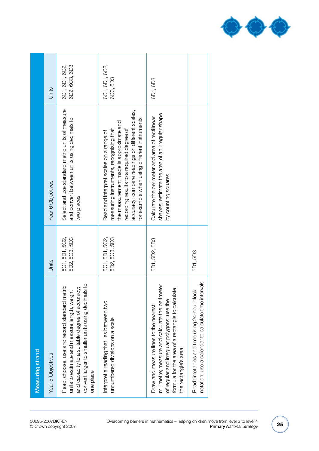| 6C3, 6D3<br>6D1, 6D3<br>Units<br>Select and use standard metric units of measure<br>accuracy; compare readings on different scales,<br>shapes; estimate the area of an irregular shape<br>Calculate the perimeter and area of rectilinear<br>for example when using different instruments<br>and convert between units using decimals to<br>the measurement made is approximate and<br>measuring instruments, recognising that<br>recording results to a required degree of<br>Read and interpret scales on a range of<br>by counting squares<br>Year 6 Objectives<br>two places<br>5C1, 5D1, 5C2,<br>5D2, 5C3, 5D3<br>5C1, 5D1, 5C2,<br>5D2, 5C3, 5D3<br>5D1, 5D2, 5D3<br>5D1, 5D3<br>Units<br>notation; use a calendar to calculate time intervals<br>O<br>millimetre; measure and calculate the perimeter<br>Read, choose, use and record standard metric<br>and capacity to a suitable degree of accuracy;<br>formula for the area of a rectangle to calculate<br>$\overline{a}$<br>Read timetables and time using 24-hour clock<br>units to estimate and measure length, weigh<br>convert larger to smaller units using decimal<br>of regular and irregular polygons; use the<br>Interpret a reading that lies between two<br>Draw and measure lines to the nearest<br>unnumbered divisions on a scale<br>area<br>Year 5 Objectives<br>the rectangle's<br>one place | Measuring strand |  |                                 |
|--------------------------------------------------------------------------------------------------------------------------------------------------------------------------------------------------------------------------------------------------------------------------------------------------------------------------------------------------------------------------------------------------------------------------------------------------------------------------------------------------------------------------------------------------------------------------------------------------------------------------------------------------------------------------------------------------------------------------------------------------------------------------------------------------------------------------------------------------------------------------------------------------------------------------------------------------------------------------------------------------------------------------------------------------------------------------------------------------------------------------------------------------------------------------------------------------------------------------------------------------------------------------------------------------------------------------------------------------------------------------|------------------|--|---------------------------------|
|                                                                                                                                                                                                                                                                                                                                                                                                                                                                                                                                                                                                                                                                                                                                                                                                                                                                                                                                                                                                                                                                                                                                                                                                                                                                                                                                                                          |                  |  |                                 |
|                                                                                                                                                                                                                                                                                                                                                                                                                                                                                                                                                                                                                                                                                                                                                                                                                                                                                                                                                                                                                                                                                                                                                                                                                                                                                                                                                                          |                  |  | 6C1, 6D1, 6C2,<br>6D2, 6C3, 6D3 |
|                                                                                                                                                                                                                                                                                                                                                                                                                                                                                                                                                                                                                                                                                                                                                                                                                                                                                                                                                                                                                                                                                                                                                                                                                                                                                                                                                                          |                  |  | 6C1, 6D1, 6C2,                  |
|                                                                                                                                                                                                                                                                                                                                                                                                                                                                                                                                                                                                                                                                                                                                                                                                                                                                                                                                                                                                                                                                                                                                                                                                                                                                                                                                                                          |                  |  |                                 |
|                                                                                                                                                                                                                                                                                                                                                                                                                                                                                                                                                                                                                                                                                                                                                                                                                                                                                                                                                                                                                                                                                                                                                                                                                                                                                                                                                                          |                  |  |                                 |
|                                                                                                                                                                                                                                                                                                                                                                                                                                                                                                                                                                                                                                                                                                                                                                                                                                                                                                                                                                                                                                                                                                                                                                                                                                                                                                                                                                          |                  |  |                                 |

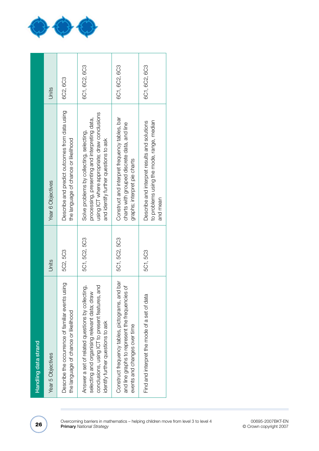| 26                                                                                 | Handling data strand                                                                                                                                                                     |               |                                                                                                                                                                                     |               |
|------------------------------------------------------------------------------------|------------------------------------------------------------------------------------------------------------------------------------------------------------------------------------------|---------------|-------------------------------------------------------------------------------------------------------------------------------------------------------------------------------------|---------------|
|                                                                                    | Year 5 Objectives                                                                                                                                                                        | Units         | Year 6 Objectives                                                                                                                                                                   | Units         |
|                                                                                    | Describe the occurrence of familiar events using<br>the language of chance or likelihood                                                                                                 | 5C2, 5C3      | Describe and predict outcomes from data using<br>the language of chance or likelihood                                                                                               | 6C2, 6C3      |
| <b>Primary National Strategy</b>                                                   | conclusions, using ICT to present features, and<br>Answer a set of related questions by collecting,<br>selecting and organising relevant data; draw<br>identify further questions to ask | 5C1, 5C2, 5C3 | using ICT where appropriate; draw conclusions<br>processing, presenting and interpreting data,<br>Solve problems by collecting, selecting,<br>and identify further questions to ask | 6C1, 6C2, 6C3 |
|                                                                                    | Construct frequency tables, pictograms, and bar<br>$\sigma$<br>and line graphs to represent the frequencies<br>events and changes over time                                              | 5C1, 5C2, 5C3 | Construct and interpret frequency tables, bar<br>charts with grouped discrete data, and line<br>graphs; interpret pie charts                                                        | 6C1, 6C2, 6C3 |
|                                                                                    | Find and interpret the mode of a set of data                                                                                                                                             | 5C1, 5C3      | to problems using the mode, range, median<br>Describe and interpret results and solutions<br>and mean                                                                               | 6C1, 6C2, 6C3 |
| Overcoming barriers in mathematics - helping children move from level 3 to level 4 |                                                                                                                                                                                          |               |                                                                                                                                                                                     |               |
| 00695-2007BKT-EN<br>© Crown copyright 2007                                         |                                                                                                                                                                                          |               |                                                                                                                                                                                     |               |